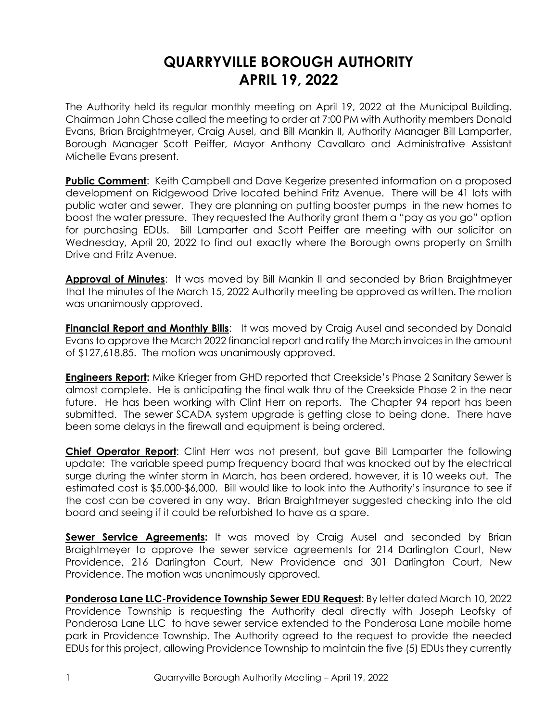## **QUARRYVILLE BOROUGH AUTHORITY APRIL 19, 2022**

The Authority held its regular monthly meeting on April 19, 2022 at the Municipal Building. Chairman John Chase called the meeting to order at 7:00 PM with Authority members Donald Evans, Brian Braightmeyer, Craig Ausel, and Bill Mankin II, Authority Manager Bill Lamparter, Borough Manager Scott Peiffer, Mayor Anthony Cavallaro and Administrative Assistant Michelle Evans present.

**Public Comment**: Keith Campbell and Dave Kegerize presented information on a proposed development on Ridgewood Drive located behind Fritz Avenue. There will be 41 lots with public water and sewer. They are planning on putting booster pumps in the new homes to boost the water pressure. They requested the Authority grant them a "pay as you go" option for purchasing EDUs. Bill Lamparter and Scott Peiffer are meeting with our solicitor on Wednesday, April 20, 2022 to find out exactly where the Borough owns property on Smith Drive and Fritz Avenue.

**Approval of Minutes**: It was moved by Bill Mankin II and seconded by Brian Braightmeyer that the minutes of the March 15, 2022 Authority meeting be approved as written. The motion was unanimously approved.

**Financial Report and Monthly Bills**: It was moved by Craig Ausel and seconded by Donald Evans to approve the March 2022 financial report and ratify the March invoices in the amount of \$127,618.85. The motion was unanimously approved.

**Engineers Report:** Mike Krieger from GHD reported that Creekside's Phase 2 Sanitary Sewer is almost complete. He is anticipating the final walk thru of the Creekside Phase 2 in the near future. He has been working with Clint Herr on reports. The Chapter 94 report has been submitted. The sewer SCADA system upgrade is getting close to being done. There have been some delays in the firewall and equipment is being ordered.

**Chief Operator Report**: Clint Herr was not present, but gave Bill Lamparter the following update: The variable speed pump frequency board that was knocked out by the electrical surge during the winter storm in March, has been ordered, however, it is 10 weeks out. The estimated cost is \$5,000-\$6,000. Bill would like to look into the Authority's insurance to see if the cost can be covered in any way. Brian Braightmeyer suggested checking into the old board and seeing if it could be refurbished to have as a spare.

**Sewer Service Agreements:** It was moved by Craig Ausel and seconded by Brian Braightmeyer to approve the sewer service agreements for 214 Darlington Court, New Providence, 216 Darlington Court, New Providence and 301 Darlington Court, New Providence. The motion was unanimously approved.

**Ponderosa Lane LLC-Providence Township Sewer EDU Request**: By letter dated March 10, 2022 Providence Township is requesting the Authority deal directly with Joseph Leofsky of Ponderosa Lane LLC to have sewer service extended to the Ponderosa Lane mobile home park in Providence Township. The Authority agreed to the request to provide the needed EDUs for this project, allowing Providence Township to maintain the five (5) EDUs they currently